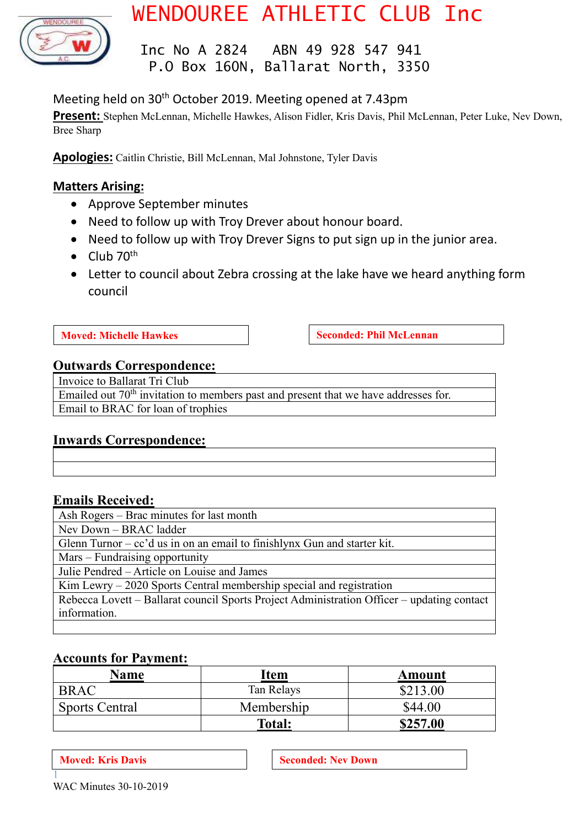

# WENDOUREE ATHLETIC CLUB Inc

 Inc No A 2824 ABN 49 928 547 941 P.O Box 160N, Ballarat North, 3350

# Meeting held on 30<sup>th</sup> October 2019. Meeting opened at 7.43pm

**Present:** Stephen McLennan, Michelle Hawkes, Alison Fidler, Kris Davis, Phil McLennan, Peter Luke, Nev Down, Bree Sharp

**Apologies:** Caitlin Christie, Bill McLennan, Mal Johnstone, Tyler Davis

### **Matters Arising:**

- Approve September minutes
- Need to follow up with Troy Drever about honour board.
- Need to follow up with Troy Drever Signs to put sign up in the junior area.
- Club  $70^{th}$
- Letter to council about Zebra crossing at the lake have we heard anything form council

**Moved: Michelle Hawkes Seconded: Phil McLennan** 

### **Outwards Correspondence:**

Invoice to Ballarat Tri Club Emailed out 70<sup>th</sup> invitation to members past and present that we have addresses for. Email to BRAC for loan of trophies

### **Inwards Correspondence:**

### **Emails Received:**

| Ash Rogers – Brac minutes for last month                                                   |
|--------------------------------------------------------------------------------------------|
| Nev Down – BRAC ladder                                                                     |
| Glenn Turnor $-$ cc'd us in on an email to finishlynx Gun and starter kit.                 |
| Mars – Fundraising opportunity                                                             |
| Julie Pendred – Article on Louise and James                                                |
| $Kim Lewry - 2020$ Sports Central membership special and registration                      |
| Rebecca Lovett – Ballarat council Sports Project Administration Officer – updating contact |
| information.                                                                               |
|                                                                                            |

### **Accounts for Payment:**

| Name           | Item       | Amount   |
|----------------|------------|----------|
| <b>BRAC</b>    | Tan Relays | \$213.00 |
| Sports Central | Membership | \$44.00  |
|                | Total:     | \$257.00 |

1

**Moved:** Kris Davis **Seconded:** Nev Down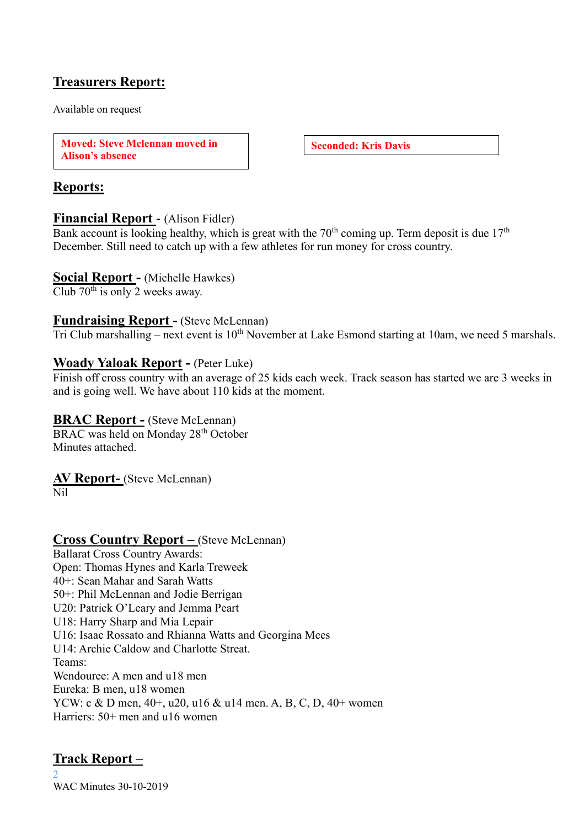# **Treasurers Report:**

Available on request

**Moved: Steve Mclennan moved in Alison's absence**

**Seconded: Kris Davis**

# **Reports:**

### **Financial Report** - (Alison Fidler)

Bank account is looking healthy, which is great with the  $70<sup>th</sup>$  coming up. Term deposit is due  $17<sup>th</sup>$ December. Still need to catch up with a few athletes for run money for cross country.

### **Social Report -** (Michelle Hawkes)

Club  $70^{th}$  is only 2 weeks away.

### **Fundraising Report -** (Steve McLennan)

Tri Club marshalling – next event is  $10<sup>th</sup>$  November at Lake Esmond starting at 10am, we need 5 marshals.

### **Woady Yaloak Report -** (Peter Luke)

Finish off cross country with an average of 25 kids each week. Track season has started we are 3 weeks in and is going well. We have about 110 kids at the moment.

### **BRAC Report -** (Steve McLennan)

BRAC was held on Monday 28<sup>th</sup> October Minutes attached.

# **AV Report-** (Steve McLennan)

Nil

# **Cross Country Report –** (Steve McLennan)

Ballarat Cross Country Awards: Open: Thomas Hynes and Karla Treweek 40+: Sean Mahar and Sarah Watts 50+: Phil McLennan and Jodie Berrigan U20: Patrick O'Leary and Jemma Peart U18: Harry Sharp and Mia Lepair U16: Isaac Rossato and Rhianna Watts and Georgina Mees U14: Archie Caldow and Charlotte Streat. Teams: Wendouree: A men and u18 men Eureka: B men, u18 women YCW: c & D men, 40+, u20, u16 & u14 men. A, B, C, D, 40+ women Harriers: 50+ men and u16 women

# **Track Report –**

 $\mathcal{D}$ WAC Minutes 30-10-2019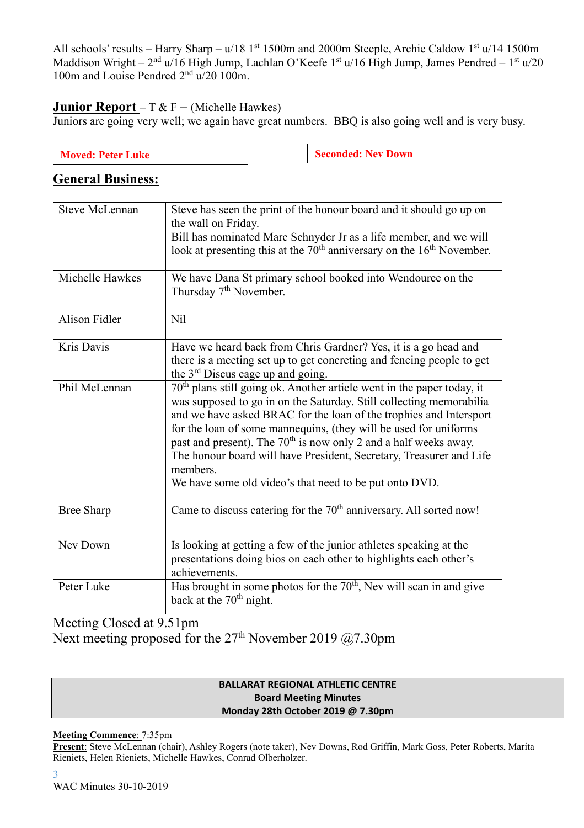All schools' results – Harry Sharp – u/18 1<sup>st</sup> 1500m and 2000m Steeple, Archie Caldow 1<sup>st</sup> u/14 1500m Maddison Wright – 2<sup>nd</sup> u/16 High Jump, Lachlan O'Keefe 1<sup>st</sup> u/16 High Jump, James Pendred – 1<sup>st</sup> u/20 100m and Louise Pendred  $2<sup>nd</sup>$  u/20 100m.

### **Junior Report** –  $\underline{T} \& \underline{F}$  – (Michelle Hawkes)

Juniors are going very well; we again have great numbers. BBQ is also going well and is very busy.

| <b>Moved: Peter Luke</b> |  |
|--------------------------|--|
|                          |  |

**Seconded: Nev Down** 

# **General Business:**

| <b>Steve McLennan</b> | Steve has seen the print of the honour board and it should go up on<br>the wall on Friday.<br>Bill has nominated Marc Schnyder Jr as a life member, and we will<br>look at presenting this at the 70 <sup>th</sup> anniversary on the 16 <sup>th</sup> November.                                                                                                                                                                                                                                                                 |
|-----------------------|----------------------------------------------------------------------------------------------------------------------------------------------------------------------------------------------------------------------------------------------------------------------------------------------------------------------------------------------------------------------------------------------------------------------------------------------------------------------------------------------------------------------------------|
| Michelle Hawkes       | We have Dana St primary school booked into Wendouree on the<br>Thursday 7 <sup>th</sup> November.                                                                                                                                                                                                                                                                                                                                                                                                                                |
| Alison Fidler         | N <sub>il</sub>                                                                                                                                                                                                                                                                                                                                                                                                                                                                                                                  |
| Kris Davis            | Have we heard back from Chris Gardner? Yes, it is a go head and<br>there is a meeting set up to get concreting and fencing people to get<br>the $3rd$ Discus cage up and going.                                                                                                                                                                                                                                                                                                                                                  |
| Phil McLennan         | 70 <sup>th</sup> plans still going ok. Another article went in the paper today, it<br>was supposed to go in on the Saturday. Still collecting memorabilia<br>and we have asked BRAC for the loan of the trophies and Intersport<br>for the loan of some mannequins, (they will be used for uniforms<br>past and present). The 70 <sup>th</sup> is now only 2 and a half weeks away.<br>The honour board will have President, Secretary, Treasurer and Life<br>members.<br>We have some old video's that need to be put onto DVD. |
| <b>Bree Sharp</b>     | Came to discuss catering for the $70th$ anniversary. All sorted now!                                                                                                                                                                                                                                                                                                                                                                                                                                                             |
| Nev Down              | Is looking at getting a few of the junior athletes speaking at the<br>presentations doing bios on each other to highlights each other's<br>achievements.                                                                                                                                                                                                                                                                                                                                                                         |
| Peter Luke            | Has brought in some photos for the 70 <sup>th</sup> , Nev will scan in and give<br>back at the $70th$ night.                                                                                                                                                                                                                                                                                                                                                                                                                     |

Meeting Closed at 9.51pm

Next meeting proposed for the  $27<sup>th</sup>$  November 2019 @7.30pm

### **BALLARAT REGIONAL ATHLETIC CENTRE Board Meeting Minutes Monday 28th October 2019 @ 7.30pm**

### **Meeting Commence**: 7:35pm

**Present**: Steve McLennan (chair), Ashley Rogers (note taker), Nev Downs, Rod Griffin, Mark Goss, Peter Roberts, Marita Rieniets, Helen Rieniets, Michelle Hawkes, Conrad Olberholzer.

WAC Minutes 30-10-2019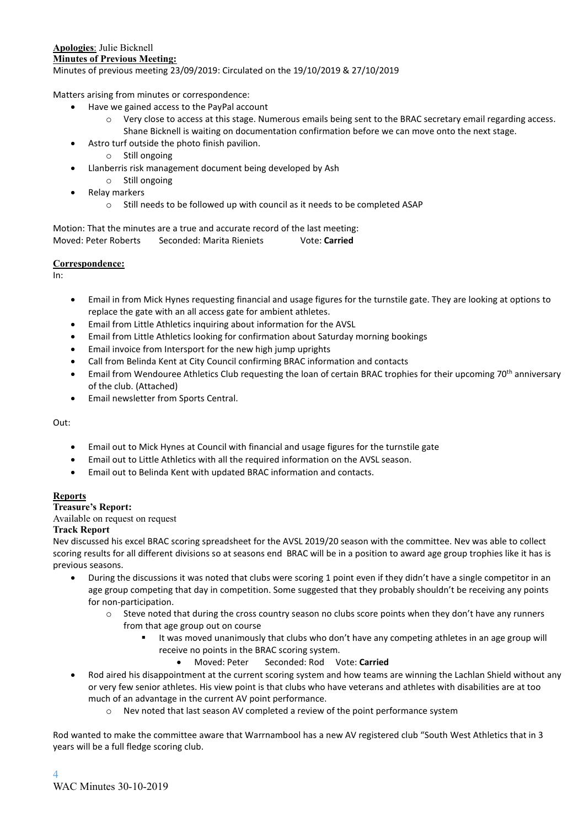#### **Apologies**: Julie Bicknell **Minutes of Previous Meeting:** Minutes of previous meeting 23/09/2019: Circulated on the 19/10/2019 & 27/10/2019

Matters arising from minutes or correspondence:

- Have we gained access to the PayPal account
	- o Very close to access at this stage. Numerous emails being sent to the BRAC secretary email regarding access. Shane Bicknell is waiting on documentation confirmation before we can move onto the next stage.
- Astro turf outside the photo finish pavilion.
	- o Still ongoing
	- Llanberris risk management document being developed by Ash
		- o Still ongoing
- Relay markers
	- o Still needs to be followed up with council as it needs to be completed ASAP

Motion: That the minutes are a true and accurate record of the last meeting: Moved: Peter Roberts Seconded: Marita Rieniets Vote: **Carried**

#### **Correspondence:**

In:

- Email in from Mick Hynes requesting financial and usage figures for the turnstile gate. They are looking at options to replace the gate with an all access gate for ambient athletes.
- Email from Little Athletics inquiring about information for the AVSL
- Email from Little Athletics looking for confirmation about Saturday morning bookings
- Email invoice from Intersport for the new high jump uprights
- Call from Belinda Kent at City Council confirming BRAC information and contacts
- Email from Wendouree Athletics Club requesting the loan of certain BRAC trophies for their upcoming 70<sup>th</sup> anniversary of the club. (Attached)
- Email newsletter from Sports Central.

Out:

- Email out to Mick Hynes at Council with financial and usage figures for the turnstile gate
- Email out to Little Athletics with all the required information on the AVSL season.
- Email out to Belinda Kent with updated BRAC information and contacts.

#### **Reports**

**Treasure's Report:**

Available on request on request

#### **Track Report**

Nev discussed his excel BRAC scoring spreadsheet for the AVSL 2019/20 season with the committee. Nev was able to collect scoring results for all different divisions so at seasons end BRAC will be in a position to award age group trophies like it has is previous seasons.

- During the discussions it was noted that clubs were scoring 1 point even if they didn't have a single competitor in an age group competing that day in competition. Some suggested that they probably shouldn't be receiving any points for non-participation.
	- o Steve noted that during the cross country season no clubs score points when they don't have any runners from that age group out on course
		- It was moved unanimously that clubs who don't have any competing athletes in an age group will receive no points in the BRAC scoring system.
			- Moved: Peter Seconded: Rod Vote: **Carried**
- Rod aired his disappointment at the current scoring system and how teams are winning the Lachlan Shield without any or very few senior athletes. His view point is that clubs who have veterans and athletes with disabilities are at too much of an advantage in the current AV point performance.
	- o Nev noted that last season AV completed a review of the point performance system

Rod wanted to make the committee aware that Warrnambool has a new AV registered club "South West Athletics that in 3 years will be a full fledge scoring club.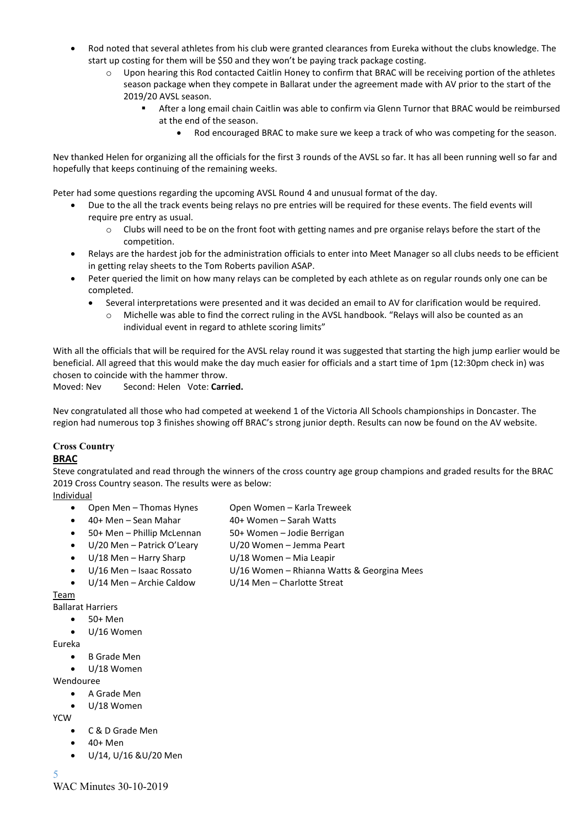- Rod noted that several athletes from his club were granted clearances from Eureka without the clubs knowledge. The start up costing for them will be \$50 and they won't be paying track package costing.
	- o Upon hearing this Rod contacted Caitlin Honey to confirm that BRAC will be receiving portion of the athletes season package when they compete in Ballarat under the agreement made with AV prior to the start of the 2019/20 AVSL season.
		- After a long email chain Caitlin was able to confirm via Glenn Turnor that BRAC would be reimbursed at the end of the season.
			- Rod encouraged BRAC to make sure we keep a track of who was competing for the season.

Nev thanked Helen for organizing all the officials for the first 3 rounds of the AVSL so far. It has all been running well so far and hopefully that keeps continuing of the remaining weeks.

Peter had some questions regarding the upcoming AVSL Round 4 and unusual format of the day.

- Due to the all the track events being relays no pre entries will be required for these events. The field events will require pre entry as usual.
	- o Clubs will need to be on the front foot with getting names and pre organise relays before the start of the competition.
- Relays are the hardest job for the administration officials to enter into Meet Manager so all clubs needs to be efficient in getting relay sheets to the Tom Roberts pavilion ASAP.
- Peter queried the limit on how many relays can be completed by each athlete as on regular rounds only one can be completed.
	- Several interpretations were presented and it was decided an email to AV for clarification would be required.
		- o Michelle was able to find the correct ruling in the AVSL handbook. "Relays will also be counted as an individual event in regard to athlete scoring limits"

With all the officials that will be required for the AVSL relay round it was suggested that starting the high jump earlier would be beneficial. All agreed that this would make the day much easier for officials and a start time of 1pm (12:30pm check in) was chosen to coincide with the hammer throw.

Moved: Nev Second: Helen Vote: **Carried.**

Nev congratulated all those who had competed at weekend 1 of the Victoria All Schools championships in Doncaster. The region had numerous top 3 finishes showing off BRAC's strong junior depth. Results can now be found on the AV website.

### **Cross Country**

#### **BRAC**

Steve congratulated and read through the winners of the cross country age group champions and graded results for the BRAC 2019 Cross Country season. The results were as below:

**Individual** 

- Open Men Thomas Hynes Open Women Karla Treweek
- 40+ Men Sean Mahar 10+ Women Sarah Watts
	-
- 50+ Men Phillip McLennan 50+ Women Jodie Berrigan
- U/20 Men Patrick O'Leary U/20 Women Jemma Peart
- U/18 Men Harry Sharp U/18 Women Mia Leapir
- 
- 

Team

- Ballarat Harriers
	- 50+ Men
	- U/16 Women

Eureka

- **B** Grade Men
- U/18 Women

Wendouree

- A Grade Men
- U/18 Women

YCW

- C & D Grade Men
- 40+ Men
- U/14, U/16 &U/20 Men

5

WAC Minutes 30-10-2019

- 
- 
- -
- U/16 Men Isaac Rossato U/16 Women Rhianna Watts & Georgina Mees
	- U/14 Men Archie Caldow U/14 Men Charlotte Streat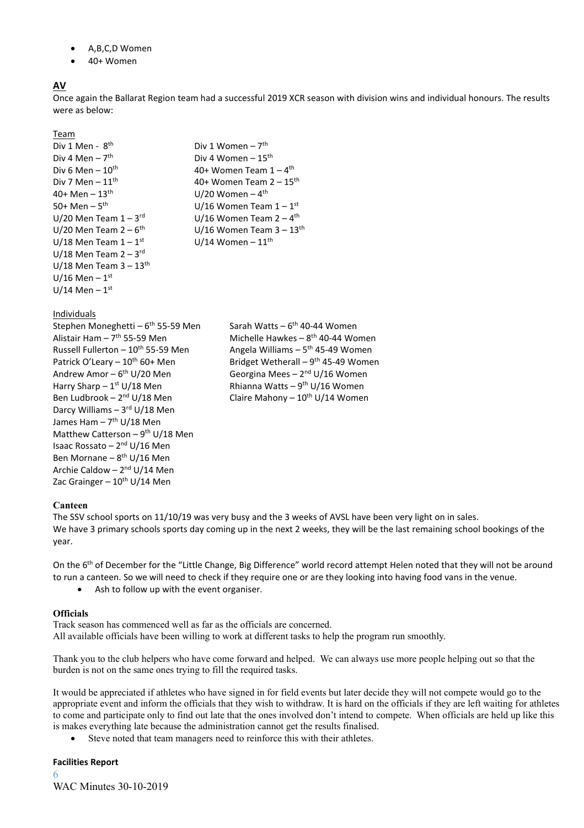- A,B,C,D Women
- 40+ Women

### **AV**

Once again the Ballarat Region team had a successful 2019 XCR season with division wins and individual honours. The results were as below:

#### Team

Div 1 Men - 8<sup>th</sup>  $\mathsf{b}$  biv 1 Women – 7<sup>th</sup> Div 4 Men –  $7^{\text{th}}$ <br>Div 6 Men –  $10^{\text{th}}$  $40+$  Men –  $13^{\text{th}}$   $10/20$  Women –  $4^{\text{th}}$ 50+ Men  $-5$ <sup>th</sup> U/20 Men Team  $1 - 3$ <sup>rd</sup> U/20 Men Team 2 –  $6^{\text{th}}$ U/18 Men Team  $1-1$ <sup>st</sup> U/18 Men Team 2 – 3<sup>rd</sup> U/18 Men Team  $3 - 13$ <sup>th</sup> U/16 Men –  $1^{\rm st}$ U/14 Men –  $1^{\text{st}}$ 

#### Individuals

Stephen Moneghetti – 6<sup>th</sup> 55-59 Men Alistair Ham  $-7$ <sup>th</sup> 55-59 Men Russell Fullerton –  $10^{th}$  55-59 Men Patrick O'Leary –  $10^{th}$  60+ Men Andrew Amor –  $6<sup>th</sup> U/20$  Men Harry Sharp  $-1$ <sup>st</sup> U/18 Men Ben Ludbrook - 2<sup>nd</sup> U/18 Men Darcy Williams – 3<sup>rd</sup> U/18 Men James Ham – 7<sup>th</sup> U/18 Men Matthew Catterson – 9<sup>th</sup> U/18 Men Isaac Rossato – 2<sup>nd</sup> U/16 Men Ben Mornane – 8<sup>th</sup> U/16 Men Archie Caldow – 2<sup>nd</sup> U/14 Men Zac Grainger  $-10^{th}$  U/14 Men

Div 4 Women –  $15<sup>th</sup>$ Div 6 Men –  $10^{\text{th}}$  and  $40+$  Women Team  $1-4^{\text{th}}$ Div 7 Men –  $11^{\text{th}}$  40+ Women Team 2 –  $15^{\text{th}}$  $U/16$  Women Team  $1-1^{st}$  $U/16$  Women Team  $2-4$ <sup>th</sup> U/16 Women Team  $3 - 13$ <sup>th</sup> U/14 Women –  $11^{th}$ 

> <sup>th</sup> 55-59 Men Sarah Watts – 6<sup>th</sup> 40-44 Women <sup>th</sup> 55-59 Men Michelle Hawkes – 8<sup>th</sup> 40-44 Women Angela Williams  $-5$ <sup>th</sup> 45-49 Women Bridget Wetherall  $-9$ <sup>th</sup> 45-49 Women <sup>th</sup> U/20 Men Georgina Mees – 2<sup>nd</sup> U/16 Women <sup>st</sup> U/18 Men **Rhianna Watts – 9<sup>th</sup> U/16 Women** Claire Mahony –  $10^{th}$  U/14 Women

#### **Canteen**

The SSV school sports on 11/10/19 was very busy and the 3 weeks of AVSL have been very light on in sales. We have 3 primary schools sports day coming up in the next 2 weeks, they will be the last remaining school bookings of the year.

On the 6<sup>th</sup> of December for the "Little Change, Big Difference" world record attempt Helen noted that they will not be around to run a canteen. So we will need to check if they require one or are they looking into having food vans in the venue.

• Ash to follow up with the event organiser.

#### **Officials**

Track season has commenced well as far as the officials are concerned. All available officials have been willing to work at different tasks to help the program run smoothly.

Thank you to the club helpers who have come forward and helped. We can always use more people helping out so that the burden is not on the same ones trying to fill the required tasks.

It would be appreciated if athletes who have signed in for field events but later decide they will not compete would go to the appropriate event and inform the officials that they wish to withdraw. It is hard on the officials if they are left waiting for athletes to come and participate only to find out late that the ones involved don't intend to compete. When officials are held up like this is makes everything late because the administration cannot get the results finalised.

Steve noted that team managers need to reinforce this with their athletes.

#### **Facilities Report**

6 WAC Minutes 30-10-2019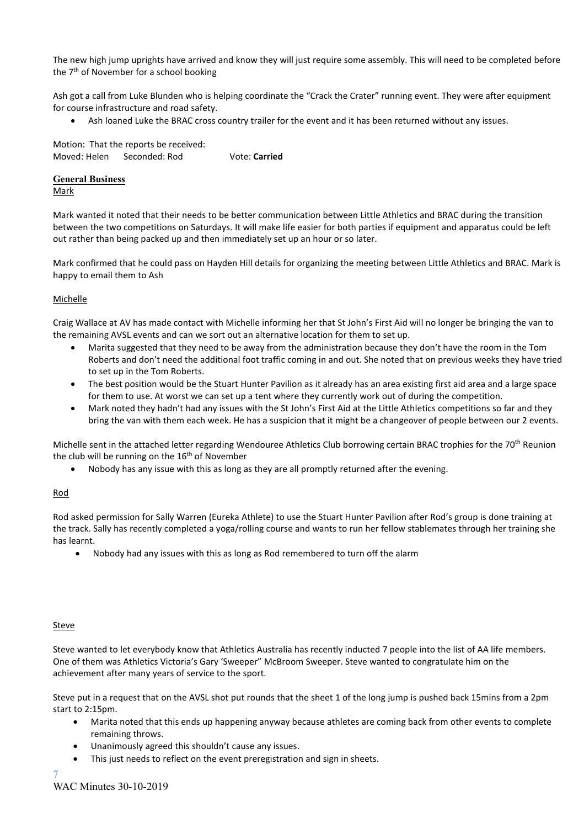The new high jump uprights have arrived and know they will just require some assembly. This will need to be completed before the 7<sup>th</sup> of November for a school booking

Ash got a call from Luke Blunden who is helping coordinate the "Crack the Crater" running event. They were after equipment for course infrastructure and road safety.

• Ash loaned Luke the BRAC cross country trailer for the event and it has been returned without any issues.

Motion: That the reports be received: Moved: Helen Seconded: Rod Vote: **Carried**

#### **General Business**

Mark

Mark wanted it noted that their needs to be better communication between Little Athletics and BRAC during the transition between the two competitions on Saturdays. It will make life easier for both parties if equipment and apparatus could be left out rather than being packed up and then immediately set up an hour or so later.

Mark confirmed that he could pass on Hayden Hill details for organizing the meeting between Little Athletics and BRAC. Mark is happy to email them to Ash

#### **Michelle**

Craig Wallace at AV has made contact with Michelle informing her that St John's First Aid will no longer be bringing the van to the remaining AVSL events and can we sort out an alternative location for them to set up.

- Marita suggested that they need to be away from the administration because they don't have the room in the Tom Roberts and don't need the additional foot traffic coming in and out. She noted that on previous weeks they have tried to set up in the Tom Roberts.
- The best position would be the Stuart Hunter Pavilion as it already has an area existing first aid area and a large space for them to use. At worst we can set up a tent where they currently work out of during the competition.
- Mark noted they hadn't had any issues with the St John's First Aid at the Little Athletics competitions so far and they bring the van with them each week. He has a suspicion that it might be a changeover of people between our 2 events.

Michelle sent in the attached letter regarding Wendouree Athletics Club borrowing certain BRAC trophies for the 70<sup>th</sup> Reunion the club will be running on the 16<sup>th</sup> of November

• Nobody has any issue with this as long as they are all promptly returned after the evening.

### Rod

Rod asked permission for Sally Warren (Eureka Athlete) to use the Stuart Hunter Pavilion after Rod's group is done training at the track. Sally has recently completed a yoga/rolling course and wants to run her fellow stablemates through her training she has learnt.

• Nobody had any issues with this as long as Rod remembered to turn off the alarm

#### **Steve**

Steve wanted to let everybody know that Athletics Australia has recently inducted 7 people into the list of AA life members. One of them was Athletics Victoria's Gary 'Sweeper" McBroom Sweeper. Steve wanted to congratulate him on the achievement after many years of service to the sport.

Steve put in a request that on the AVSL shot put rounds that the sheet 1 of the long jump is pushed back 15mins from a 2pm start to 2:15pm.

- Marita noted that this ends up happening anyway because athletes are coming back from other events to complete remaining throws.
- Unanimously agreed this shouldn't cause any issues.
- This just needs to reflect on the event preregistration and sign in sheets.